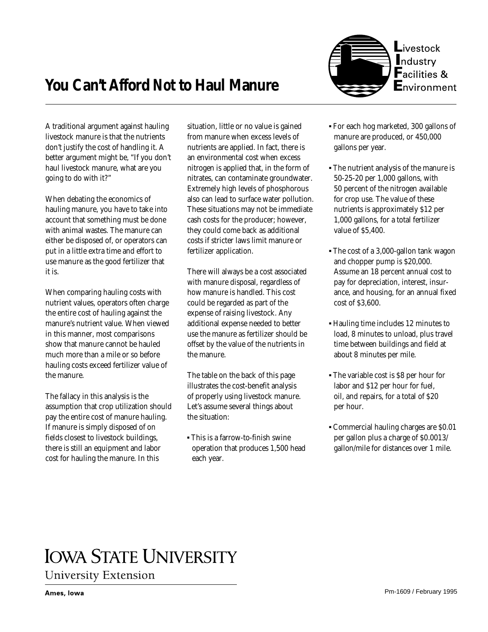



A traditional argument against hauling livestock manure is that the nutrients don't justify the cost of handling it. A better argument might be, "If you don't haul livestock manure, what are you going to do with it?"

When debating the economics of hauling manure, you have to take into account that something must be done with animal wastes. The manure can either be disposed of, or operators can put in a little extra time and effort to use manure as the good fertilizer that it is.

When comparing hauling costs with nutrient values, operators often charge the entire cost of hauling against the manure's nutrient value. When viewed in this manner, most comparisons show that manure cannot be hauled much more than a mile or so before hauling costs exceed fertilizer value of the manure.

The fallacy in this analysis is the assumption that crop utilization should pay the entire cost of manure hauling. If manure is simply disposed of on fields closest to livestock buildings, there is still an equipment and labor cost for hauling the manure. In this

situation, little or no value is gained from manure when excess levels of nutrients are applied. In fact, there is an environmental cost when excess nitrogen is applied that, in the form of nitrates, can contaminate groundwater. Extremely high levels of phosphorous also can lead to surface water pollution. These situations may not be immediate cash costs for the producer; however, they could come back as additional costs if stricter laws limit manure or fertilizer application.

There will always be a cost associated with manure disposal, regardless of how manure is handled. This cost could be regarded as part of the expense of raising livestock. Any additional expense needed to better use the manure as fertilizer should be offset by the value of the nutrients in the manure.

The table on the back of this page illustrates the cost-benefit analysis of properly using livestock manure. Let's assume several things about the situation:

▪ This is a farrow-to-finish swine operation that produces 1,500 head each year.

- For each hog marketed, 300 gallons of manure are produced, or 450,000 gallons per year.
- The nutrient analysis of the manure is 50-25-20 per 1,000 gallons, with 50 percent of the nitrogen available for crop use. The value of these nutrients is approximately \$12 per 1,000 gallons, for a total fertilizer value of \$5,400.
- The cost of a 3,000-gallon tank wagon and chopper pump is \$20,000. Assume an 18 percent annual cost to pay for depreciation, interest, insurance, and housing, for an annual fixed cost of \$3,600.
- Hauling time includes 12 minutes to load, 8 minutes to unload, plus travel time between buildings and field at about 8 minutes per mile.
- The variable cost is \$8 per hour for labor and \$12 per hour for fuel, oil, and repairs, for a total of \$20 per hour.
- Commercial hauling charges are \$0.01 per gallon plus a charge of \$0.0013/ gallon/mile for distances over 1 mile.

## **IOWA STATE UNIVERSITY University Extension**